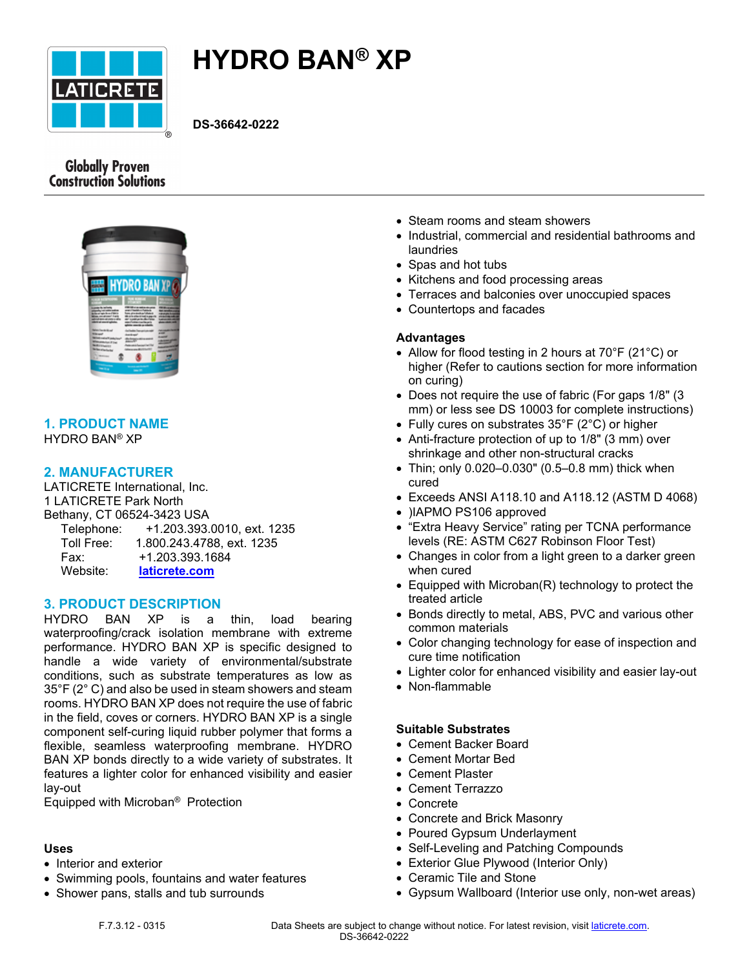

# **HYDRO BAN® XP**

**DS-36642-0222**

# **Globally Proven Construction Solutions**



### **1. PRODUCT NAME** HYDRO BAN® XP

# **2. MANUFACTURER**

LATICRETE International, Inc. 1 LATICRETE Park North Bethany, CT 06524-3423 USA Telephone: +1.203.393.0010, ext. 1235 Toll Free: 1.800.243.4788, ext. 1235 Fax: +1.203.393.1684 Website: **[laticrete.com](https://laticrete.com/)**

# **3. PRODUCT DESCRIPTION**

HYDRO BAN XP is a thin, load bearing waterproofing/crack isolation membrane with extreme performance. HYDRO BAN XP is specific designed to handle a wide variety of environmental/substrate conditions, such as substrate temperatures as low as 35°F (2° C) and also be used in steam showers and steam rooms. HYDRO BAN XP does not require the use of fabric in the field, coves or corners. HYDRO BAN XP is a single component self-curing liquid rubber polymer that forms a flexible, seamless waterproofing membrane. HYDRO BAN XP bonds directly to a wide variety of substrates. It features a lighter color for enhanced visibility and easier lay-out

Equipped with Microban® Protection

#### **Uses**

- Interior and exterior
- Swimming pools, fountains and water features
- Shower pans, stalls and tub surrounds
- Steam rooms and steam showers
- Industrial, commercial and residential bathrooms and laundries
- Spas and hot tubs
- Kitchens and food processing areas
- Terraces and balconies over unoccupied spaces
- Countertops and facades

#### **Advantages**

- Allow for flood testing in 2 hours at 70°F (21°C) or higher (Refer to cautions section for more information on curing)
- Does not require the use of fabric (For gaps 1/8" (3 mm) or less see DS 10003 for complete instructions)
- Fully cures on substrates 35°F (2°C) or higher
- Anti-fracture protection of up to 1/8" (3 mm) over shrinkage and other non-structural cracks
- Thin; only 0.020–0.030" (0.5–0.8 mm) thick when cured
- Exceeds ANSI A118.10 and A118.12 (ASTM D 4068)
- )IAPMO PS106 approved
- "Extra Heavy Service" rating per TCNA performance levels (RE: ASTM C627 Robinson Floor Test)
- Changes in color from a light green to a darker green when cured
- Equipped with Microban(R) technology to protect the treated article
- Bonds directly to metal, ABS, PVC and various other common materials
- Color changing technology for ease of inspection and cure time notification
- Lighter color for enhanced visibility and easier lay-out
- Non-flammable

#### **Suitable Substrates**

- Cement Backer Board
- Cement Mortar Bed
- Cement Plaster
- Cement Terrazzo
- Concrete
- Concrete and Brick Masonry
- Poured Gypsum Underlayment
- Self-Leveling and Patching Compounds
- Exterior Glue Plywood (Interior Only)
- Ceramic Tile and Stone
- Gypsum Wallboard (Interior use only, non-wet areas)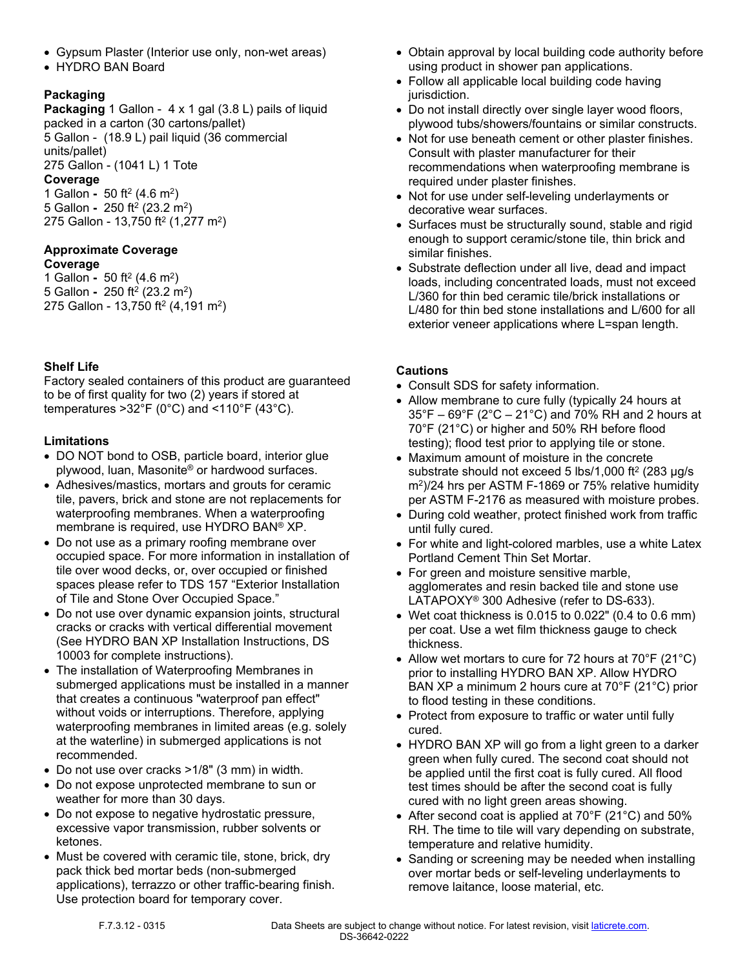- Gypsum Plaster (Interior use only, non-wet areas)
- HYDRO BAN Board

# **Packaging**

**Packaging** 1 Gallon - 4 x 1 gal (3.8 L) pails of liquid packed in a carton (30 cartons/pallet) 5 Gallon - (18.9 L) pail liquid (36 commercial units/pallet) 275 Gallon - (1041 L) 1 Tote **Coverage** 1 Gallon **-** 50 ft<sup>2</sup> (4.6 m<sup>2</sup> )

5 Gallon **-** 250 ft<sup>2</sup> (23.2 m<sup>2</sup> ) 275 Gallon - 13,750 ft<sup>2</sup> (1,277 m<sup>2</sup>)

#### **Approximate Coverage Coverage**

1 Gallon **-** 50 ft<sup>2</sup> (4.6 m<sup>2</sup> ) 5 Gallon **-** 250 ft<sup>2</sup> (23.2 m<sup>2</sup> ) 275 Gallon - 13,750 ft<sup>2</sup> (4,191 m<sup>2</sup>)

# **Shelf Life**

Factory sealed containers of this product are guaranteed to be of first quality for two (2) years if stored at temperatures >32°F (0°C) and <110°F (43°C).

# **Limitations**

- DO NOT bond to OSB, particle board, interior glue plywood, luan, Masonite® or hardwood surfaces.
- Adhesives/mastics, mortars and grouts for ceramic tile, pavers, brick and stone are not replacements for waterproofing membranes. When a waterproofing membrane is required, use HYDRO BAN® XP.
- Do not use as a primary roofing membrane over occupied space. For more information in installation of tile over wood decks, or, over occupied or finished spaces please refer to TDS 157 "Exterior Installation of Tile and Stone Over Occupied Space."
- Do not use over dynamic expansion joints, structural cracks or cracks with vertical differential movement (See HYDRO BAN XP Installation Instructions, DS 10003 for complete instructions).
- The installation of Waterproofing Membranes in submerged applications must be installed in a manner that creates a continuous "waterproof pan effect" without voids or interruptions. Therefore, applying waterproofing membranes in limited areas (e.g. solely at the waterline) in submerged applications is not recommended.
- Do not use over cracks >1/8" (3 mm) in width.
- Do not expose unprotected membrane to sun or weather for more than 30 days.
- Do not expose to negative hydrostatic pressure, excessive vapor transmission, rubber solvents or ketones.
- Must be covered with ceramic tile, stone, brick, dry pack thick bed mortar beds (non-submerged applications), terrazzo or other traffic-bearing finish. Use protection board for temporary cover.
- Obtain approval by local building code authority before using product in shower pan applications.
- Follow all applicable local building code having jurisdiction.
- Do not install directly over single layer wood floors, plywood tubs/showers/fountains or similar constructs.
- Not for use beneath cement or other plaster finishes. Consult with plaster manufacturer for their recommendations when waterproofing membrane is required under plaster finishes.
- Not for use under self-leveling underlayments or decorative wear surfaces.
- Surfaces must be structurally sound, stable and rigid enough to support ceramic/stone tile, thin brick and similar finishes.
- Substrate deflection under all live, dead and impact loads, including concentrated loads, must not exceed L/360 for thin bed ceramic tile/brick installations or L/480 for thin bed stone installations and L/600 for all exterior veneer applications where L=span length.

# **Cautions**

- Consult SDS for safety information.
- Allow membrane to cure fully (typically 24 hours at 35°F – 69°F (2°C – 21°C) and 70% RH and 2 hours at 70°F (21°C) or higher and 50% RH before flood testing); flood test prior to applying tile or stone.
- Maximum amount of moisture in the concrete substrate should not exceed 5 lbs/1,000 ft<sup>2</sup> (283  $\mu$ g/s m<sup>2</sup> )/24 hrs per ASTM F-1869 or 75% relative humidity per ASTM F-2176 as measured with moisture probes.
- During cold weather, protect finished work from traffic until fully cured.
- For white and light-colored marbles, use a white Latex Portland Cement Thin Set Mortar.
- For green and moisture sensitive marble, agglomerates and resin backed tile and stone use LATAPOXY® 300 Adhesive (refer to DS-633).
- Wet coat thickness is 0.015 to 0.022" (0.4 to 0.6 mm) per coat. Use a wet film thickness gauge to check thickness.
- Allow wet mortars to cure for 72 hours at 70°F (21°C) prior to installing HYDRO BAN XP. Allow HYDRO BAN XP a minimum 2 hours cure at 70°F (21°C) prior to flood testing in these conditions.
- Protect from exposure to traffic or water until fully cured.
- HYDRO BAN XP will go from a light green to a darker green when fully cured. The second coat should not be applied until the first coat is fully cured. All flood test times should be after the second coat is fully cured with no light green areas showing.
- After second coat is applied at 70°F (21°C) and 50% RH. The time to tile will vary depending on substrate, temperature and relative humidity.
- Sanding or screening may be needed when installing over mortar beds or self-leveling underlayments to remove laitance, loose material, etc.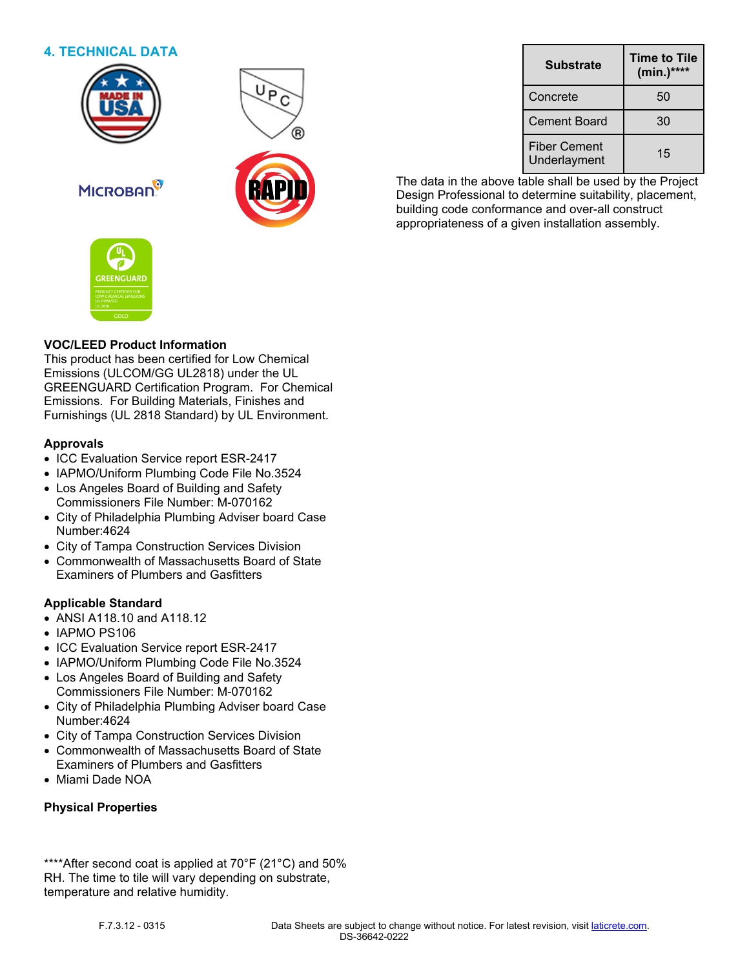# **4. TECHNICAL DATA**







The data in the above table shall be used by the Project Design Professional to determine suitability, placement, building code conformance and over-all construct appropriateness of a given installation assembly.



**MICROBAN** 

# **VOC/LEED Product Information**

This product has been certified for Low Chemical Emissions (ULCOM/GG UL2818) under the UL GREENGUARD Certification Program. For Chemical Emissions. For Building Materials, Finishes and Furnishings (UL 2818 Standard) by UL Environment.

### **Approvals**

- ICC Evaluation Service report ESR-2417
- IAPMO/Uniform Plumbing Code File No.3524
- Los Angeles Board of Building and Safety Commissioners File Number: M-070162
- City of Philadelphia Plumbing Adviser board Case Number:4624
- City of Tampa Construction Services Division
- Commonwealth of Massachusetts Board of State Examiners of Plumbers and Gasfitters

# **Applicable Standard**

- ANSI A118.10 and A118.12
- IAPMO PS106
- ICC Evaluation Service report ESR-2417
- IAPMO/Uniform Plumbing Code File No.3524
- Los Angeles Board of Building and Safety Commissioners File Number: M-070162
- City of Philadelphia Plumbing Adviser board Case Number:4624
- City of Tampa Construction Services Division
- Commonwealth of Massachusetts Board of State Examiners of Plumbers and Gasfitters
- Miami Dade NOA

# **Physical Properties**

\*\*\*\*After second coat is applied at 70°F (21°C) and 50% RH. The time to tile will vary depending on substrate, temperature and relative humidity.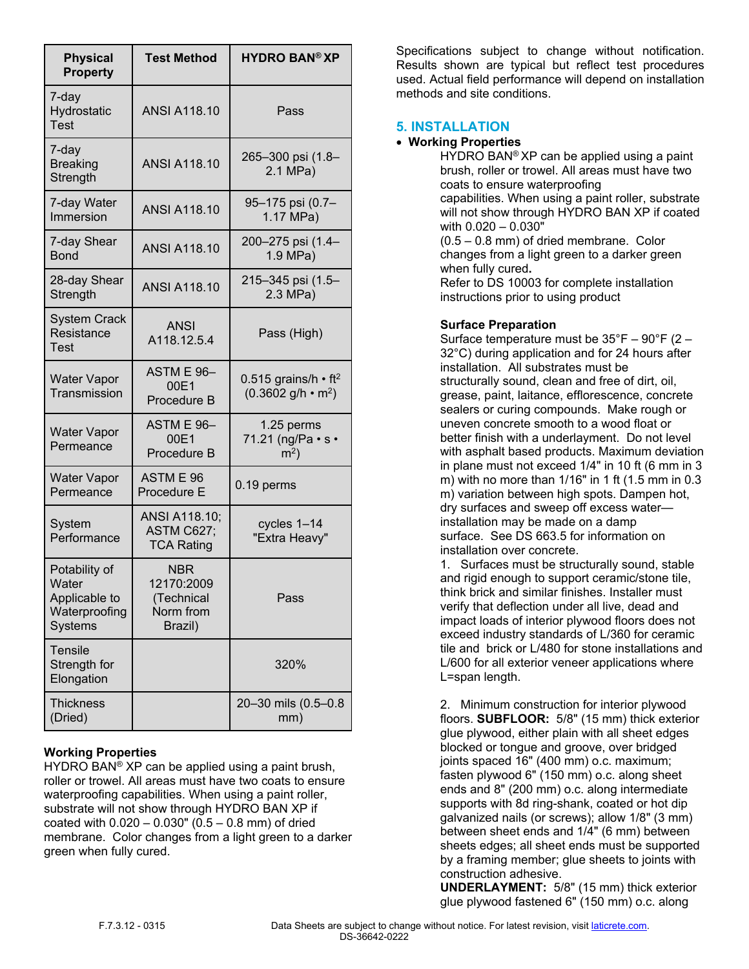| <b>Physical</b><br><b>Property</b>                                         | <b>Test Method</b>                                             | <b>HYDRO BAN® XP</b>                                               |
|----------------------------------------------------------------------------|----------------------------------------------------------------|--------------------------------------------------------------------|
| 7-day<br>Hydrostatic<br><b>Test</b>                                        | <b>ANSI A118.10</b>                                            | Pass                                                               |
| 7-day<br><b>Breaking</b><br>Strength                                       | <b>ANSI A118.10</b>                                            | 265-300 psi (1.8-<br>2.1 MPa)                                      |
| 7-day Water<br>Immersion                                                   | <b>ANSI A118.10</b>                                            | 95–175 psi (0.7–<br>1.17 MPa)                                      |
| 7-day Shear<br><b>Bond</b>                                                 | <b>ANSI A118.10</b>                                            | 200-275 psi (1.4-<br>1.9 MPa)                                      |
| 28-day Shear<br>Strength                                                   | <b>ANSI A118.10</b>                                            | 215–345 psi (1.5–<br>$2.3$ MPa)                                    |
| <b>System Crack</b><br>Resistance<br><b>Test</b>                           | <b>ANSI</b><br>A118.12.5.4                                     | Pass (High)                                                        |
| <b>Water Vapor</b><br>Transmission                                         | ASTM E 96-<br>00E1<br>Procedure B                              | 0.515 grains/h $\cdot$ ft <sup>2</sup><br>$(0.3602 g/h \cdot m^2)$ |
| <b>Water Vapor</b><br>Permeance                                            | ASTM E 96-<br>00E1<br>Procedure B                              | 1.25 perms<br>71.21 (ng/Pa $\cdot$ s $\cdot$<br>$m2$ )             |
| <b>Water Vapor</b><br>Permeance                                            | ASTM E 96<br>Procedure E                                       | $0.19$ perms                                                       |
| System<br>Performance                                                      | ANSI A118.10;<br>ASTM C627;<br><b>TCA Rating</b>               | cycles 1-14<br>"Extra Heavy"                                       |
| Potability of<br>Water<br>Applicable to<br>Waterproofing<br><b>Systems</b> | <b>NBR</b><br>12170:2009<br>(Technical<br>Norm from<br>Brazil) | Pass                                                               |
| <b>Tensile</b><br>Strength for<br>Elongation                               |                                                                | 320%                                                               |
| <b>Thickness</b><br>(Dried)                                                |                                                                | 20-30 mils (0.5-0.8<br>mm)                                         |

# **Working Properties**

HYDRO BAN<sup>®</sup> XP can be applied using a paint brush, roller or trowel. All areas must have two coats to ensure waterproofing capabilities. When using a paint roller, substrate will not show through HYDRO BAN XP if coated with  $0.020 - 0.030$ "  $(0.5 - 0.8$  mm) of dried membrane. Color changes from a light green to a darker green when fully cured.

Specifications subject to change without notification. Results shown are typical but reflect test procedures used. Actual field performance will depend on installation methods and site conditions.

# **5. INSTALLATION**

### • **Working Properties**

HYDRO BAN® XP can be applied using a paint brush, roller or trowel. All areas must have two coats to ensure waterproofing capabilities. When using a paint roller, substrate will not show through HYDRO BAN XP if coated with 0.020 – 0.030" (0.5 – 0.8 mm) of dried membrane. Color

changes from a light green to a darker green when fully cured**.**

Refer to DS 10003 for complete installation instructions prior to using product

### **Surface Preparation**

Surface temperature must be 35°F – 90°F (2 – 32°C) during application and for 24 hours after installation. All substrates must be structurally sound, clean and free of dirt, oil, grease, paint, laitance, efflorescence, concrete sealers or curing compounds. Make rough or uneven concrete smooth to a wood float or better finish with a underlayment. Do not level with asphalt based products. Maximum deviation in plane must not exceed 1/4" in 10 ft (6 mm in 3 m) with no more than 1/16" in 1 ft (1.5 mm in 0.3 m) variation between high spots. Dampen hot, dry surfaces and sweep off excess water installation may be made on a damp surface. See DS 663.5 for information on installation over concrete.

1. Surfaces must be structurally sound, stable and rigid enough to support ceramic/stone tile, think brick and similar finishes. Installer must verify that deflection under all live, dead and impact loads of interior plywood floors does not exceed industry standards of L/360 for ceramic tile and brick or L/480 for stone installations and L/600 for all exterior veneer applications where L=span length.

2. Minimum construction for interior plywood floors. **SUBFLOOR:** 5/8" (15 mm) thick exterior glue plywood, either plain with all sheet edges blocked or tongue and groove, over bridged joints spaced 16" (400 mm) o.c. maximum; fasten plywood 6" (150 mm) o.c. along sheet ends and 8" (200 mm) o.c. along intermediate supports with 8d ring-shank, coated or hot dip galvanized nails (or screws); allow 1/8" (3 mm) between sheet ends and 1/4" (6 mm) between sheets edges; all sheet ends must be supported by a framing member; glue sheets to joints with construction adhesive.

**UNDERLAYMENT:** 5/8" (15 mm) thick exterior glue plywood fastened 6" (150 mm) o.c. along

F.7.3.12 - 0315 Data Sheets are subject to change without notice. For latest revision, visit [laticrete.com.](https://laticrete.com/) DS-36642-0222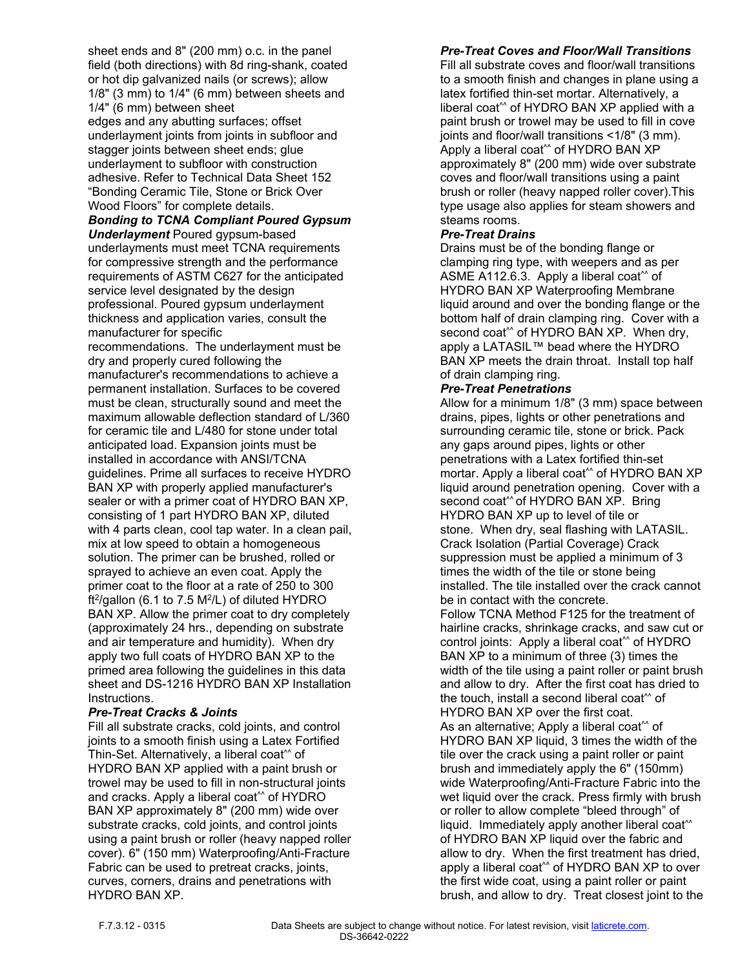sheet ends and 8" (200 mm) o.c. in the panel field (both directions) with 8d ring-shank, coated or hot dip galvanized nails (or screws); allow 1/8" (3 mm) to 1/4" (6 mm) between sheets and 1/4" (6 mm) between sheet edges and any abutting surfaces; offset underlayment joints from joints in subfloor and stagger joints between sheet ends; glue underlayment to subfloor with construction adhesive. Refer to Technical Data Sheet 152 "Bonding Ceramic Tile, Stone or Brick Over Wood Floors" for complete details.

*Bonding to TCNA Compliant Poured Gypsum Underlayment* Poured gypsum-based underlayments must meet TCNA requirements for compressive strength and the performance requirements of ASTM C627 for the anticipated service level designated by the design professional. Poured gypsum underlayment thickness and application varies, consult the manufacturer for specific

recommendations. The underlayment must be dry and properly cured following the manufacturer's recommendations to achieve a permanent installation. Surfaces to be covered must be clean, structurally sound and meet the maximum allowable deflection standard of L/360 for ceramic tile and L/480 for stone under total anticipated load. Expansion joints must be installed in accordance with ANSI/TCNA guidelines. Prime all surfaces to receive HYDRO BAN XP with properly applied manufacturer's sealer or with a primer coat of HYDRO BAN XP, consisting of 1 part HYDRO BAN XP, diluted with 4 parts clean, cool tap water. In a clean pail, mix at low speed to obtain a homogeneous solution. The primer can be brushed, rolled or sprayed to achieve an even coat. Apply the primer coat to the floor at a rate of 250 to 300 ft<sup>2</sup>/gallon (6.1 to 7.5 M<sup>2</sup>/L) of diluted HYDRO BAN XP. Allow the primer coat to dry completely (approximately 24 hrs., depending on substrate and air temperature and humidity). When dry apply two full coats of HYDRO BAN XP to the primed area following the guidelines in this data sheet and DS-1216 HYDRO BAN XP Installation Instructions.

#### *Pre-Treat Cracks & Joints*

Fill all substrate cracks, cold joints, and control joints to a smooth finish using a Latex Fortified Thin-Set. Alternatively, a liberal coat^^ of HYDRO BAN XP applied with a paint brush or trowel may be used to fill in non-structural joints and cracks. Apply a liberal coat^^ of HYDRO BAN XP approximately 8" (200 mm) wide over substrate cracks, cold joints, and control joints using a paint brush or roller (heavy napped roller cover). 6" (150 mm) Waterproofing/Anti-Fracture Fabric can be used to pretreat cracks, joints, curves, corners, drains and penetrations with HYDRO BAN XP.

### *Pre-Treat Coves and Floor/Wall Transitions*

Fill all substrate coves and floor/wall transitions to a smooth finish and changes in plane using a latex fortified thin-set mortar. Alternatively, a liberal coat^^ of HYDRO BAN XP applied with a paint brush or trowel may be used to fill in cove joints and floor/wall transitions <1/8" (3 mm). Apply a liberal coat^^ of HYDRO BAN XP approximately 8" (200 mm) wide over substrate coves and floor/wall transitions using a paint brush or roller (heavy napped roller cover).This type usage also applies for steam showers and steams rooms.

#### *Pre-Treat Drains*

Drains must be of the bonding flange or clamping ring type, with weepers and as per ASME A112.6.3. Apply a liberal coat^^ of HYDRO BAN XP Waterproofing Membrane liquid around and over the bonding flange or the bottom half of drain clamping ring. Cover with a second coat<sup>\*\*</sup> of HYDRO BAN XP. When dry, apply a LATASIL™ bead where the HYDRO BAN XP meets the drain throat. Install top half of drain clamping ring.

#### *Pre-Treat Penetrations*

Allow for a minimum 1/8" (3 mm) space between drains, pipes, lights or other penetrations and surrounding ceramic tile, stone or brick. Pack any gaps around pipes, lights or other penetrations with a Latex fortified thin-set mortar. Apply a liberal coat<sup>\*\*</sup> of HYDRO BAN XP liquid around penetration opening. Cover with a second coat<sup>\*\*</sup> of HYDRO BAN XP. Bring HYDRO BAN XP up to level of tile or stone. When dry, seal flashing with LATASIL. Crack Isolation (Partial Coverage) Crack suppression must be applied a minimum of 3 times the width of the tile or stone being installed. The tile installed over the crack cannot be in contact with the concrete. Follow TCNA Method F125 for the treatment of hairline cracks, shrinkage cracks, and saw cut or control joints: Apply a liberal coat^^ of HYDRO BAN XP to a minimum of three (3) times the width of the tile using a paint roller or paint brush and allow to dry. After the first coat has dried to the touch, install a second liberal coat^^ of HYDRO BAN XP over the first coat. As an alternative; Apply a liberal coat<sup>\*\*</sup> of HYDRO BAN XP liquid, 3 times the width of the tile over the crack using a paint roller or paint brush and immediately apply the 6" (150mm) wide Waterproofing/Anti-Fracture Fabric into the wet liquid over the crack. Press firmly with brush or roller to allow complete "bleed through" of liquid. Immediately apply another liberal coat<sup>^^</sup> of HYDRO BAN XP liquid over the fabric and allow to dry. When the first treatment has dried, apply a liberal coat^^ of HYDRO BAN XP to over the first wide coat, using a paint roller or paint brush, and allow to dry. Treat closest joint to the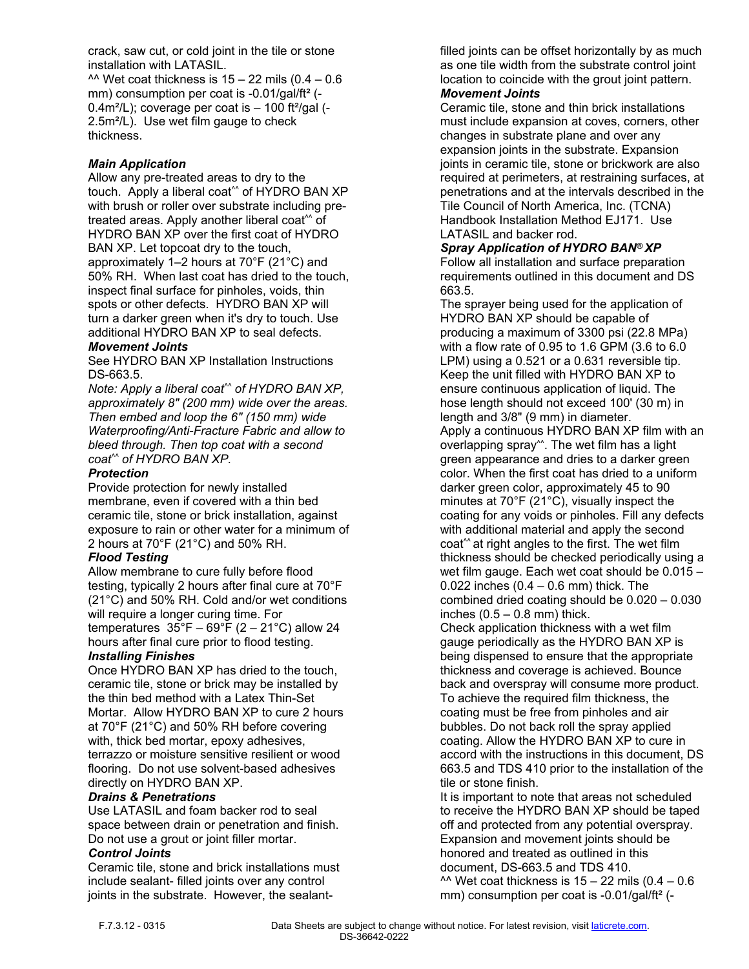crack, saw cut, or cold joint in the tile or stone installation with LATASIL.

^^ Wet coat thickness is  $15 - 22$  mils (0.4 – 0.6 mm) consumption per coat is -0.01/gal/ft<sup>2</sup> (-0.4m<sup>2</sup>/L); coverage per coat is - 100 ft<sup>2</sup>/gal (-2.5m²/L). Use wet film gauge to check thickness.

# *Main Application*

Allow any pre-treated areas to dry to the touch. Apply a liberal coat^^ of HYDRO BAN XP with brush or roller over substrate including pretreated areas. Apply another liberal coat^^ of HYDRO BAN XP over the first coat of HYDRO BAN XP. Let topcoat dry to the touch, approximately 1–2 hours at 70°F (21°C) and 50% RH. When last coat has dried to the touch, inspect final surface for pinholes, voids, thin spots or other defects. HYDRO BAN XP will turn a darker green when it's dry to touch. Use additional HYDRO BAN XP to seal defects. *Movement Joints*

See HYDRO BAN XP Installation Instructions DS-663.5.

*Note: Apply a liberal coat^^ of HYDRO BAN XP, approximately 8" (200 mm) wide over the areas. Then embed and loop the 6" (150 mm) wide Waterproofing/Anti-Fracture Fabric and allow to bleed through. Then top coat with a second coat^^ of HYDRO BAN XP.* 

# *Protection*

Provide protection for newly installed membrane, even if covered with a thin bed ceramic tile, stone or brick installation, against exposure to rain or other water for a minimum of 2 hours at 70°F (21°C) and 50% RH.

# *Flood Testing*

Allow membrane to cure fully before flood testing, typically 2 hours after final cure at 70°F (21°C) and 50% RH. Cold and/or wet conditions will require a longer curing time. For temperatures  $35^{\circ}F - 69^{\circ}F (2 - 21^{\circ}C)$  allow 24 hours after final cure prior to flood testing.

# *Installing Finishes*

Once HYDRO BAN XP has dried to the touch, ceramic tile, stone or brick may be installed by the thin bed method with a Latex Thin-Set Mortar. Allow HYDRO BAN XP to cure 2 hours at 70°F (21°C) and 50% RH before covering with, thick bed mortar, epoxy adhesives, terrazzo or moisture sensitive resilient or wood flooring. Do not use solvent-based adhesives directly on HYDRO BAN XP.

# *Drains & Penetrations*

Use LATASIL and foam backer rod to seal space between drain or penetration and finish. Do not use a grout or joint filler mortar.

# *Control Joints*

Ceramic tile, stone and brick installations must include sealant- filled joints over any control joints in the substrate. However, the sealantfilled joints can be offset horizontally by as much as one tile width from the substrate control joint location to coincide with the grout joint pattern.

#### *Movement Joints*

Ceramic tile, stone and thin brick installations must include expansion at coves, corners, other changes in substrate plane and over any expansion joints in the substrate. Expansion joints in ceramic tile, stone or brickwork are also required at perimeters, at restraining surfaces, at penetrations and at the intervals described in the Tile Council of North America, Inc. (TCNA) Handbook Installation Method EJ171. Use LATASIL and backer rod.

### *Spray Application of HYDRO BAN® XP*

Follow all installation and surface preparation requirements outlined in this document and DS 663.5.

The sprayer being used for the application of HYDRO BAN XP should be capable of producing a maximum of 3300 psi (22.8 MPa) with a flow rate of 0.95 to 1.6 GPM (3.6 to 6.0 LPM) using a 0.521 or a 0.631 reversible tip. Keep the unit filled with HYDRO BAN XP to ensure continuous application of liquid. The hose length should not exceed 100' (30 m) in length and 3/8" (9 mm) in diameter. Apply a continuous HYDRO BAN XP film with an overlapping spray^^. The wet film has a light green appearance and dries to a darker green color. When the first coat has dried to a uniform darker green color, approximately 45 to 90 minutes at 70°F (21°C), visually inspect the coating for any voids or pinholes. Fill any defects with additional material and apply the second coat<sup>^^</sup> at right angles to the first. The wet film thickness should be checked periodically using a wet film gauge. Each wet coat should be 0.015 – 0.022 inches (0.4 – 0.6 mm) thick. The combined dried coating should be 0.020 – 0.030 inches  $(0.5 - 0.8$  mm) thick.

Check application thickness with a wet film gauge periodically as the HYDRO BAN XP is being dispensed to ensure that the appropriate thickness and coverage is achieved. Bounce back and overspray will consume more product. To achieve the required film thickness, the coating must be free from pinholes and air bubbles. Do not back roll the spray applied coating. Allow the HYDRO BAN XP to cure in accord with the instructions in this document, DS 663.5 and TDS 410 prior to the installation of the tile or stone finish.

It is important to note that areas not scheduled to receive the HYDRO BAN XP should be taped off and protected from any potential overspray. Expansion and movement joints should be honored and treated as outlined in this document, DS-663.5 and TDS 410. ^^ Wet coat thickness is  $15 - 22$  mils (0.4 – 0.6 mm) consumption per coat is -0.01/gal/ft<sup>2</sup> (-